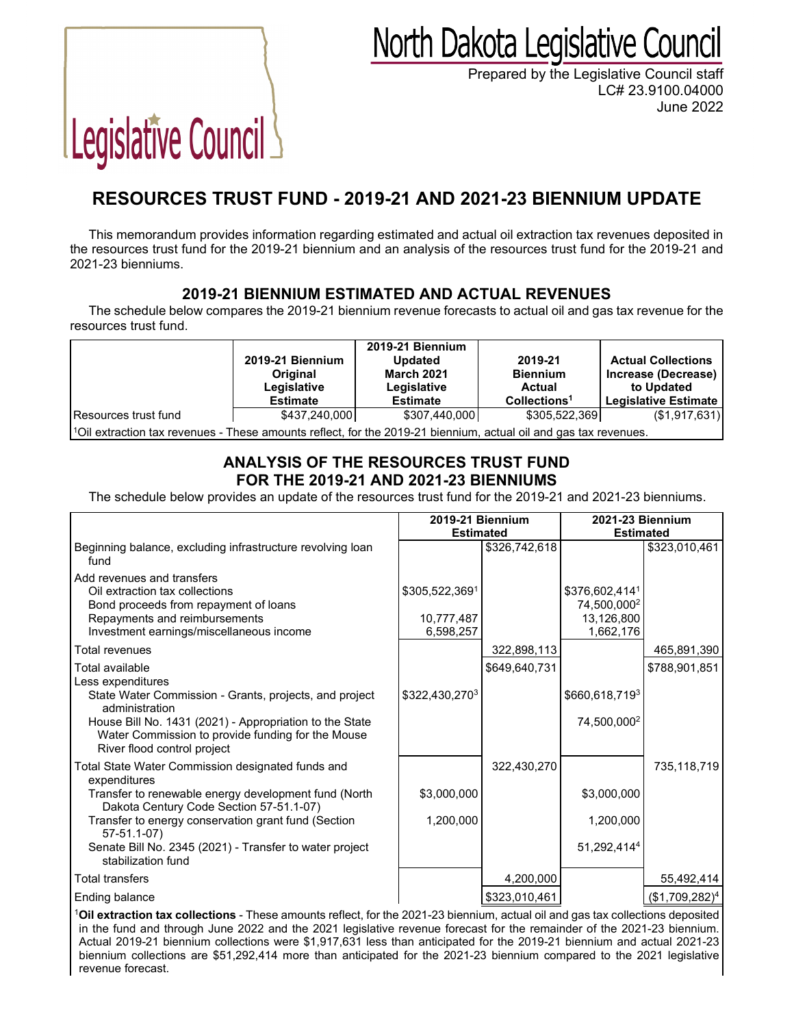## North Dakota Legislative Council

Prepared by the Legislative Council staff LC# 23.9100.04000 June 2022

# Legislative Council

### **RESOURCES TRUST FUND - 2019-21 AND 2021-23 BIENNIUM UPDATE**

This memorandum provides information regarding estimated and actual oil extraction tax revenues deposited in the resources trust fund for the 2019-21 biennium and an analysis of the resources trust fund for the 2019-21 and 2021-23 bienniums.

#### **2019-21 BIENNIUM ESTIMATED AND ACTUAL REVENUES**

The schedule below compares the 2019-21 biennium revenue forecasts to actual oil and gas tax revenue for the resources trust fund.

|                                                                                                                               | 2019-21 Biennium<br>Original<br>Legislative<br><b>Estimate</b> | <b>2019-21 Biennium</b><br><b>Updated</b><br><b>March 2021</b><br>Legislative<br><b>Estimate</b> | 2019-21<br><b>Biennium</b><br>Actual<br>Collections <sup>1</sup> | <b>Actual Collections</b><br>Increase (Decrease)<br>to Updated<br><b>Legislative Estimate</b> |
|-------------------------------------------------------------------------------------------------------------------------------|----------------------------------------------------------------|--------------------------------------------------------------------------------------------------|------------------------------------------------------------------|-----------------------------------------------------------------------------------------------|
| Resources trust fund                                                                                                          | \$437,240,000                                                  | \$307,440,000                                                                                    | \$305,522,369                                                    | (\$1,917,631)                                                                                 |
| $\frac{1}{1}$ Oil extraction tax revenues - These amounts reflect, for the 2019-21 biennium, actual oil and gas tax revenues. |                                                                |                                                                                                  |                                                                  |                                                                                               |

#### **ANALYSIS OF THE RESOURCES TRUST FUND FOR THE 2019-21 AND 2021-23 BIENNIUMS**

The schedule below provides an update of the resources trust fund for the 2019-21 and 2021-23 bienniums.

|                                                                                                                                                                                                                                                                       | 2019-21 Biennium                          |               | <b>2021-23 Biennium</b>                                              |                  |  |  |
|-----------------------------------------------------------------------------------------------------------------------------------------------------------------------------------------------------------------------------------------------------------------------|-------------------------------------------|---------------|----------------------------------------------------------------------|------------------|--|--|
|                                                                                                                                                                                                                                                                       | <b>Estimated</b>                          |               | <b>Estimated</b>                                                     |                  |  |  |
| Beginning balance, excluding infrastructure revolving loan<br>fund                                                                                                                                                                                                    |                                           | \$326,742,618 |                                                                      | \$323,010,461    |  |  |
| Add revenues and transfers<br>Oil extraction tax collections<br>Bond proceeds from repayment of loans<br>Repayments and reimbursements<br>Investment earnings/miscellaneous income                                                                                    | \$305,522,3691<br>10,777,487<br>6,598,257 |               | \$376,602,4141<br>74,500,000 <sup>2</sup><br>13,126,800<br>1,662,176 |                  |  |  |
| Total revenues                                                                                                                                                                                                                                                        |                                           | 322,898,113   |                                                                      | 465,891,390      |  |  |
| Total available<br>Less expenditures                                                                                                                                                                                                                                  |                                           | \$649.640.731 |                                                                      | \$788,901,851    |  |  |
| State Water Commission - Grants, projects, and project<br>administration                                                                                                                                                                                              | \$322,430,2703                            |               | \$660,618,7193                                                       |                  |  |  |
| House Bill No. 1431 (2021) - Appropriation to the State<br>Water Commission to provide funding for the Mouse<br>River flood control project                                                                                                                           |                                           |               | 74,500,0002                                                          |                  |  |  |
| Total State Water Commission designated funds and<br>expenditures                                                                                                                                                                                                     |                                           | 322,430,270   |                                                                      | 735,118,719      |  |  |
| Transfer to renewable energy development fund (North<br>Dakota Century Code Section 57-51.1-07)                                                                                                                                                                       | \$3,000,000                               |               | \$3,000,000                                                          |                  |  |  |
| Transfer to energy conservation grant fund (Section<br>$57-51.1-07$ )                                                                                                                                                                                                 | 1,200,000                                 |               | 1,200,000                                                            |                  |  |  |
| Senate Bill No. 2345 (2021) - Transfer to water project<br>stabilization fund                                                                                                                                                                                         |                                           |               | 51,292,4144                                                          |                  |  |  |
| <b>Total transfers</b>                                                                                                                                                                                                                                                |                                           | 4,200,000     |                                                                      | 55,492,414       |  |  |
| Ending balance                                                                                                                                                                                                                                                        |                                           | \$323,010,461 |                                                                      | $($1,709,282)^4$ |  |  |
| <sup>1</sup> Oil extraction tax collections - These amounts reflect, for the 2021-23 biennium, actual oil and gas tax collections deposited<br>in the fund and through June 2022 and the 2021 legislative revenue forecast for the remainder of the 2021-23 biennium. |                                           |               |                                                                      |                  |  |  |

Actual 2019-21 biennium collections were \$1,917,631 less than anticipated for the 2019-21 biennium and actual 2021-23 biennium collections are \$51,292,414 more than anticipated for the 2021-23 biennium compared to the 2021 legislative revenue forecast.